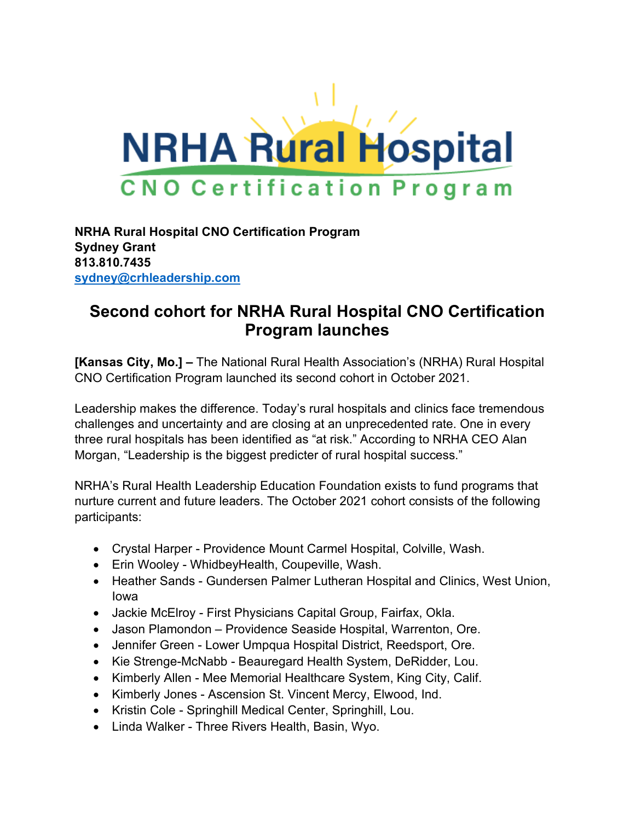

**NRHA Rural Hospital CNO Certification Program Sydney Grant 813.810.7435 [sydney@crhleadership.com](mailto:sydney@crhleadership.com)**

## **Second cohort for NRHA Rural Hospital CNO Certification Program launches**

**[Kansas City, Mo.] –** The National Rural Health Association's (NRHA) Rural Hospital CNO Certification Program launched its second cohort in October 2021.

Leadership makes the difference. Today's rural hospitals and clinics face tremendous challenges and uncertainty and are closing at an unprecedented rate. One in every three rural hospitals has been identified as "at risk." According to NRHA CEO Alan Morgan, "Leadership is the biggest predicter of rural hospital success."

NRHA's Rural Health Leadership Education Foundation exists to fund programs that nurture current and future leaders. The October 2021 cohort consists of the following participants:

- Crystal Harper Providence Mount Carmel Hospital, Colville, Wash.
- Erin Wooley WhidbeyHealth, Coupeville, Wash.
- Heather Sands Gundersen Palmer Lutheran Hospital and Clinics, West Union, Iowa
- Jackie McElroy First Physicians Capital Group, Fairfax, Okla.
- Jason Plamondon Providence Seaside Hospital, Warrenton, Ore.
- Jennifer Green Lower Umpqua Hospital District, Reedsport, Ore.
- Kie Strenge-McNabb Beauregard Health System, DeRidder, Lou.
- Kimberly Allen Mee Memorial Healthcare System, King City, Calif.
- Kimberly Jones Ascension St. Vincent Mercy, Elwood, Ind.
- Kristin Cole Springhill Medical Center, Springhill, Lou.
- Linda Walker Three Rivers Health, Basin, Wyo.